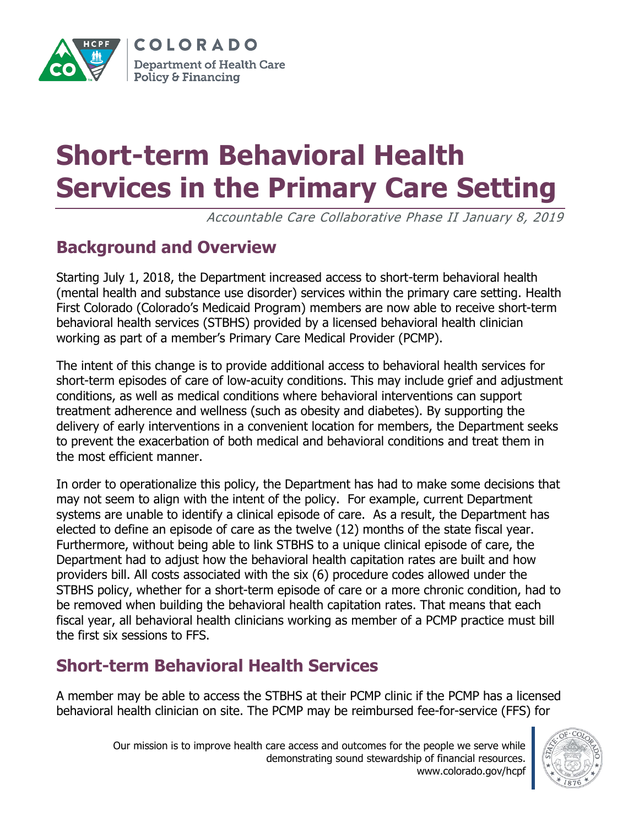

COLORADO **Department of Health Care** Policy & Financing

# **Short-term Behavioral Health Services in the Primary Care Setting**

Accountable Care Collaborative Phase II January 8, 2019

# **Background and Overview**

Starting July 1, 2018, the Department increased access to short-term behavioral health (mental health and substance use disorder) services within the primary care setting. Health First Colorado (Colorado's Medicaid Program) members are now able to receive short-term behavioral health services (STBHS) provided by a licensed behavioral health clinician working as part of a member's Primary Care Medical Provider (PCMP).

The intent of this change is to provide additional access to behavioral health services for short-term episodes of care of low-acuity conditions. This may include grief and adjustment conditions, as well as medical conditions where behavioral interventions can support treatment adherence and wellness (such as obesity and diabetes). By supporting the delivery of early interventions in a convenient location for members, the Department seeks to prevent the exacerbation of both medical and behavioral conditions and treat them in the most efficient manner.

In order to operationalize this policy, the Department has had to make some decisions that may not seem to align with the intent of the policy. For example, current Department systems are unable to identify a clinical episode of care. As a result, the Department has elected to define an episode of care as the twelve (12) months of the state fiscal year. Furthermore, without being able to link STBHS to a unique clinical episode of care, the Department had to adjust how the behavioral health capitation rates are built and how providers bill. All costs associated with the six (6) procedure codes allowed under the STBHS policy, whether for a short-term episode of care or a more chronic condition, had to be removed when building the behavioral health capitation rates. That means that each fiscal year, all behavioral health clinicians working as member of a PCMP practice must bill the first six sessions to FFS.

# **Short-term Behavioral Health Services**

A member may be able to access the STBHS at their PCMP clinic if the PCMP has a licensed behavioral health clinician on site. The PCMP may be reimbursed fee-for-service (FFS) for

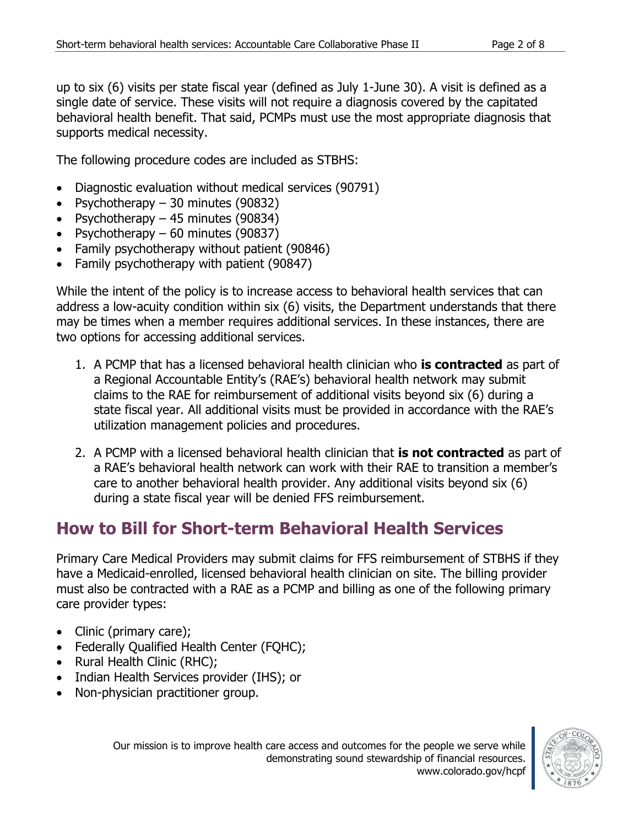up to six (6) visits per state fiscal year (defined as July 1-June 30). A visit is defined as a single date of service. These visits will not require a diagnosis covered by the capitated behavioral health benefit. That said, PCMPs must use the most appropriate diagnosis that supports medical necessity.

The following procedure codes are included as STBHS:

- Diagnostic evaluation without medical services (90791)
- Psychotherapy 30 minutes (90832)
- Psychotherapy 45 minutes (90834)
- Psychotherapy  $-60$  minutes (90837)
- Family psychotherapy without patient (90846)
- Family psychotherapy with patient (90847)

While the intent of the policy is to increase access to behavioral health services that can address a low-acuity condition within six (6) visits, the Department understands that there may be times when a member requires additional services. In these instances, there are two options for accessing additional services.

- 1. A PCMP that has a licensed behavioral health clinician who **is contracted** as part of a Regional Accountable Entity's (RAE's) behavioral health network may submit claims to the RAE for reimbursement of additional visits beyond six (6) during a state fiscal year. All additional visits must be provided in accordance with the RAE's utilization management policies and procedures.
- 2. A PCMP with a licensed behavioral health clinician that **is not contracted** as part of a RAE's behavioral health network can work with their RAE to transition a member's care to another behavioral health provider. Any additional visits beyond six (6) during a state fiscal year will be denied FFS reimbursement.

# **How to Bill for Short-term Behavioral Health Services**

Primary Care Medical Providers may submit claims for FFS reimbursement of STBHS if they have a Medicaid-enrolled, licensed behavioral health clinician on site. The billing provider must also be contracted with a RAE as a PCMP and billing as one of the following primary care provider types:

- Clinic (primary care);
- Federally Qualified Health Center (FOHC);
- Rural Health Clinic (RHC);
- Indian Health Services provider (IHS); or
- Non-physician practitioner group.

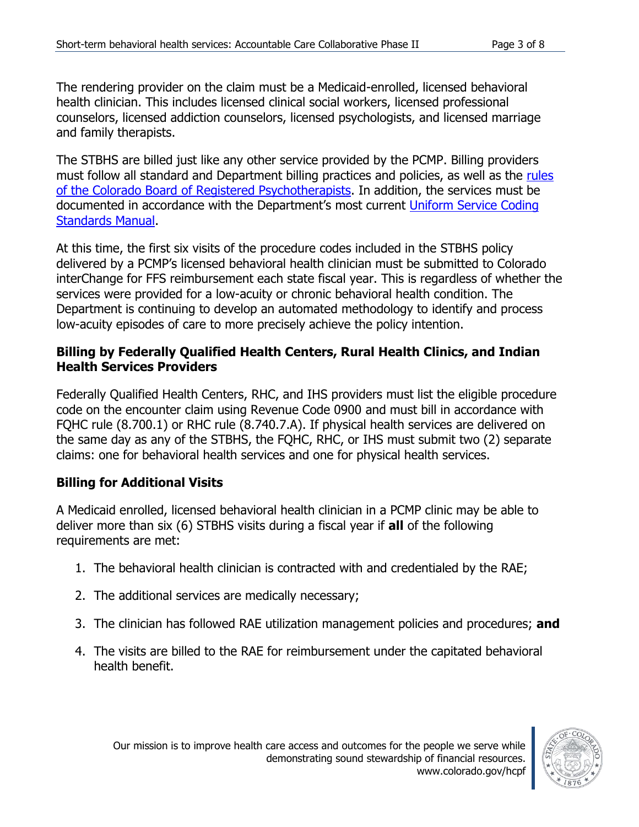The rendering provider on the claim must be a Medicaid-enrolled, licensed behavioral health clinician. This includes licensed clinical social workers, licensed professional counselors, licensed addiction counselors, licensed psychologists, and licensed marriage and family therapists.

The STBHS are billed just like any other service provided by the PCMP. Billing providers must follow all standard and Department billing practices and policies, as well as the rules [of the Colorado Board of Registered Psychotherapists.](https://drive.google.com/file/d/0B-K5DhxXxJZbN1g5Ukc1eEFqdzg/view) In addition, the services must be documented in accordance with the Department's most current Uniform Service Coding [Standards Manual.](https://www.colorado.gov/pacific/sites/default/files/Uniform%20Services%20Coding%20Standards%20January%202018.pdf)

At this time, the first six visits of the procedure codes included in the STBHS policy delivered by a PCMP's licensed behavioral health clinician must be submitted to Colorado interChange for FFS reimbursement each state fiscal year. This is regardless of whether the services were provided for a low-acuity or chronic behavioral health condition. The Department is continuing to develop an automated methodology to identify and process low-acuity episodes of care to more precisely achieve the policy intention.

## **Billing by Federally Qualified Health Centers, Rural Health Clinics, and Indian Health Services Providers**

Federally Qualified Health Centers, RHC, and IHS providers must list the eligible procedure code on the encounter claim using Revenue Code 0900 and must bill in accordance with FQHC rule (8.700.1) or RHC rule (8.740.7.A). If physical health services are delivered on the same day as any of the STBHS, the FQHC, RHC, or IHS must submit two (2) separate claims: one for behavioral health services and one for physical health services.

# **Billing for Additional Visits**

A Medicaid enrolled, licensed behavioral health clinician in a PCMP clinic may be able to deliver more than six (6) STBHS visits during a fiscal year if **all** of the following requirements are met:

- 1. The behavioral health clinician is contracted with and credentialed by the RAE;
- 2. The additional services are medically necessary;
- 3. The clinician has followed RAE utilization management policies and procedures; **and**
- 4. The visits are billed to the RAE for reimbursement under the capitated behavioral health benefit.

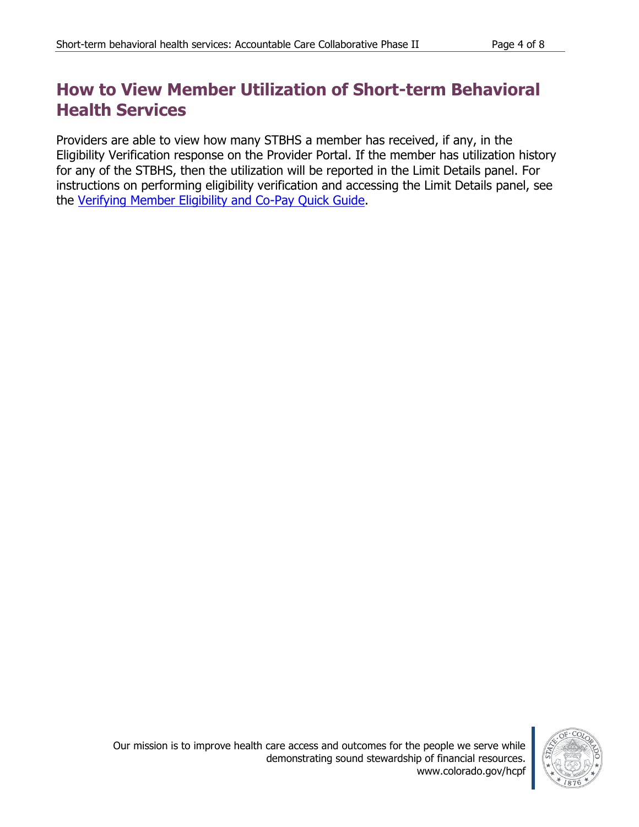# **How to View Member Utilization of Short-term Behavioral Health Services**

Providers are able to view how many STBHS a member has received, if any, in the Eligibility Verification response on the Provider Portal. If the member has utilization history for any of the STBHS, then the utilization will be reported in the Limit Details panel. For instructions on performing eligibility verification and accessing the Limit Details panel, see the [Verifying Member Eligibility and Co-Pay Quick Guide.](https://www.colorado.gov/pacific/sites/default/files/Member%20Eligibility%20021318.pdf)

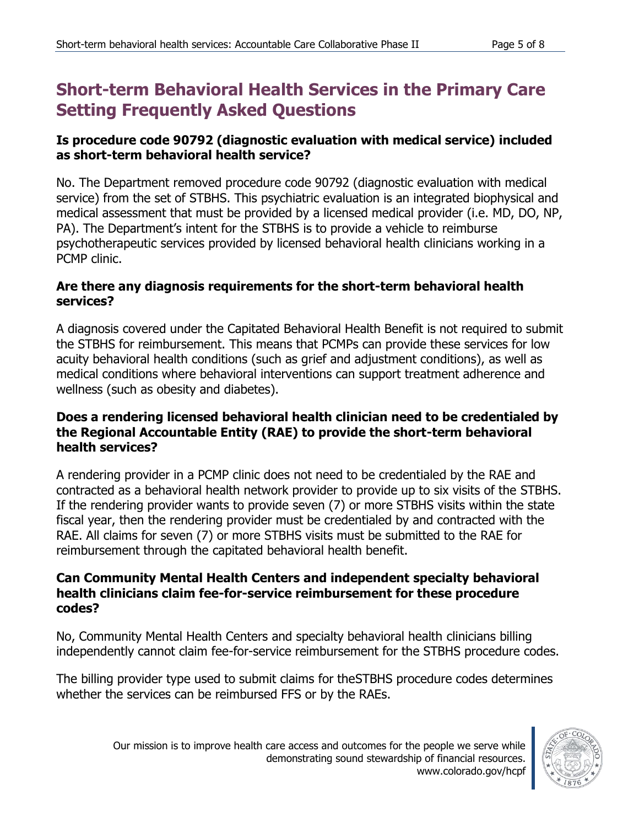# **Short-term Behavioral Health Services in the Primary Care Setting Frequently Asked Questions**

## **Is procedure code 90792 (diagnostic evaluation with medical service) included as short-term behavioral health service?**

No. The Department removed procedure code 90792 (diagnostic evaluation with medical service) from the set of STBHS. This psychiatric evaluation is an integrated biophysical and medical assessment that must be provided by a licensed medical provider (i.e. MD, DO, NP, PA). The Department's intent for the STBHS is to provide a vehicle to reimburse psychotherapeutic services provided by licensed behavioral health clinicians working in a PCMP clinic.

#### **Are there any diagnosis requirements for the short-term behavioral health services?**

A diagnosis covered under the Capitated Behavioral Health Benefit is not required to submit the STBHS for reimbursement. This means that PCMPs can provide these services for low acuity behavioral health conditions (such as grief and adjustment conditions), as well as medical conditions where behavioral interventions can support treatment adherence and wellness (such as obesity and diabetes).

## **Does a rendering licensed behavioral health clinician need to be credentialed by the Regional Accountable Entity (RAE) to provide the short-term behavioral health services?**

A rendering provider in a PCMP clinic does not need to be credentialed by the RAE and contracted as a behavioral health network provider to provide up to six visits of the STBHS. If the rendering provider wants to provide seven (7) or more STBHS visits within the state fiscal year, then the rendering provider must be credentialed by and contracted with the RAE. All claims for seven (7) or more STBHS visits must be submitted to the RAE for reimbursement through the capitated behavioral health benefit.

#### **Can Community Mental Health Centers and independent specialty behavioral health clinicians claim fee-for-service reimbursement for these procedure codes?**

No, Community Mental Health Centers and specialty behavioral health clinicians billing independently cannot claim fee-for-service reimbursement for the STBHS procedure codes.

The billing provider type used to submit claims for theSTBHS procedure codes determines whether the services can be reimbursed FFS or by the RAEs.

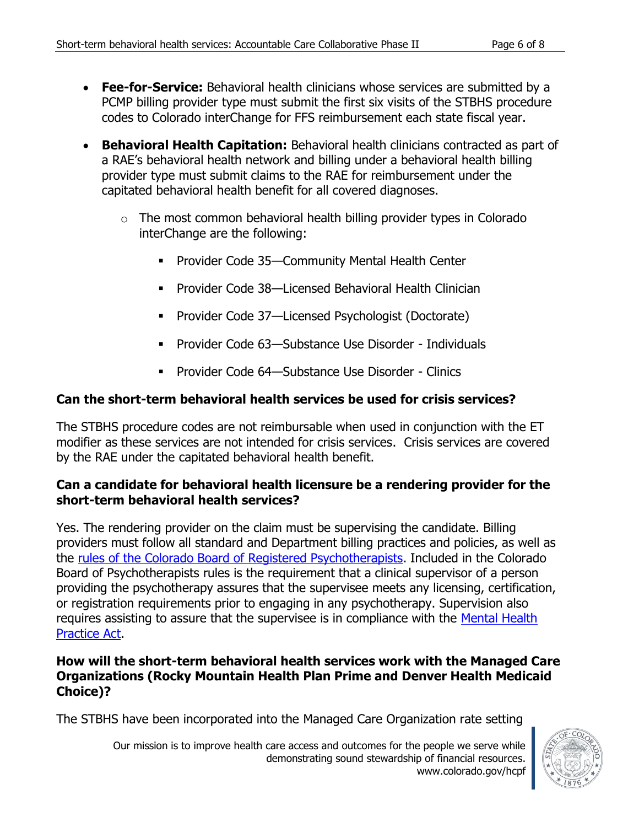- **Fee-for-Service:** Behavioral health clinicians whose services are submitted by a PCMP billing provider type must submit the first six visits of the STBHS procedure codes to Colorado interChange for FFS reimbursement each state fiscal year.
- **Behavioral Health Capitation:** Behavioral health clinicians contracted as part of a RAE's behavioral health network and billing under a behavioral health billing provider type must submit claims to the RAE for reimbursement under the capitated behavioral health benefit for all covered diagnoses.
	- $\circ$  The most common behavioral health billing provider types in Colorado interChange are the following:
		- **Provider Code 35—Community Mental Health Center**
		- **Provider Code 38—Licensed Behavioral Health Clinician**
		- Provider Code 37—Licensed Psychologist (Doctorate)
		- Provider Code 63—Substance Use Disorder Individuals
		- Provider Code 64—Substance Use Disorder Clinics

# **Can the short-term behavioral health services be used for crisis services?**

The STBHS procedure codes are not reimbursable when used in conjunction with the ET modifier as these services are not intended for crisis services. Crisis services are covered by the RAE under the capitated behavioral health benefit.

## **Can a candidate for behavioral health licensure be a rendering provider for the short-term behavioral health services?**

Yes. The rendering provider on the claim must be supervising the candidate. Billing providers must follow all standard and Department billing practices and policies, as well as the [rules of the Colorado Board of Registered Psychotherapists.](https://drive.google.com/file/d/0B-K5DhxXxJZbN1g5Ukc1eEFqdzg/view) Included in the Colorado Board of Psychotherapists rules is the requirement that a clinical supervisor of a person providing the psychotherapy assures that the supervisee meets any licensing, certification, or registration requirements prior to engaging in any psychotherapy. Supervision also requires assisting to assure that the supervisee is in compliance with the Mental Health [Practice Act.](https://drive.google.com/file/d/0BzKoVwvexVATMlFKX3NvbHh1ZTQ/view?usp=sharing)

## **How will the short-term behavioral health services work with the Managed Care Organizations (Rocky Mountain Health Plan Prime and Denver Health Medicaid Choice)?**

The STBHS have been incorporated into the Managed Care Organization rate setting



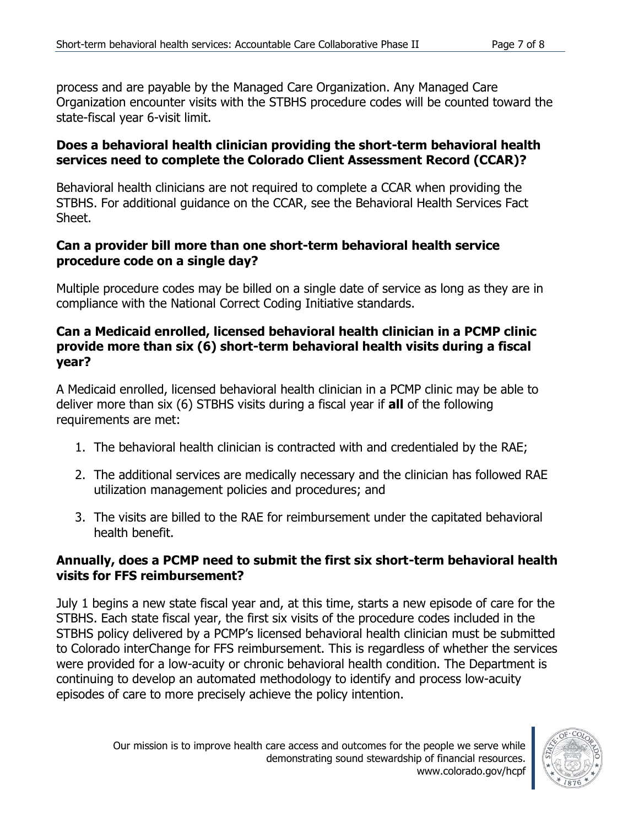process and are payable by the Managed Care Organization. Any Managed Care Organization encounter visits with the STBHS procedure codes will be counted toward the state-fiscal year 6-visit limit.

#### **Does a behavioral health clinician providing the short-term behavioral health services need to complete the Colorado Client Assessment Record (CCAR)?**

Behavioral health clinicians are not required to complete a CCAR when providing the STBHS. For additional guidance on the CCAR, see the Behavioral Health Services Fact Sheet.

### **Can a provider bill more than one short-term behavioral health service procedure code on a single day?**

Multiple procedure codes may be billed on a single date of service as long as they are in compliance with the National Correct Coding Initiative standards.

## **Can a Medicaid enrolled, licensed behavioral health clinician in a PCMP clinic provide more than six (6) short-term behavioral health visits during a fiscal year?**

A Medicaid enrolled, licensed behavioral health clinician in a PCMP clinic may be able to deliver more than six (6) STBHS visits during a fiscal year if **all** of the following requirements are met:

- 1. The behavioral health clinician is contracted with and credentialed by the RAE;
- 2. The additional services are medically necessary and the clinician has followed RAE utilization management policies and procedures; and
- 3. The visits are billed to the RAE for reimbursement under the capitated behavioral health benefit.

# **Annually, does a PCMP need to submit the first six short-term behavioral health visits for FFS reimbursement?**

July 1 begins a new state fiscal year and, at this time, starts a new episode of care for the STBHS. Each state fiscal year, the first six visits of the procedure codes included in the STBHS policy delivered by a PCMP's licensed behavioral health clinician must be submitted to Colorado interChange for FFS reimbursement. This is regardless of whether the services were provided for a low-acuity or chronic behavioral health condition. The Department is continuing to develop an automated methodology to identify and process low-acuity episodes of care to more precisely achieve the policy intention.